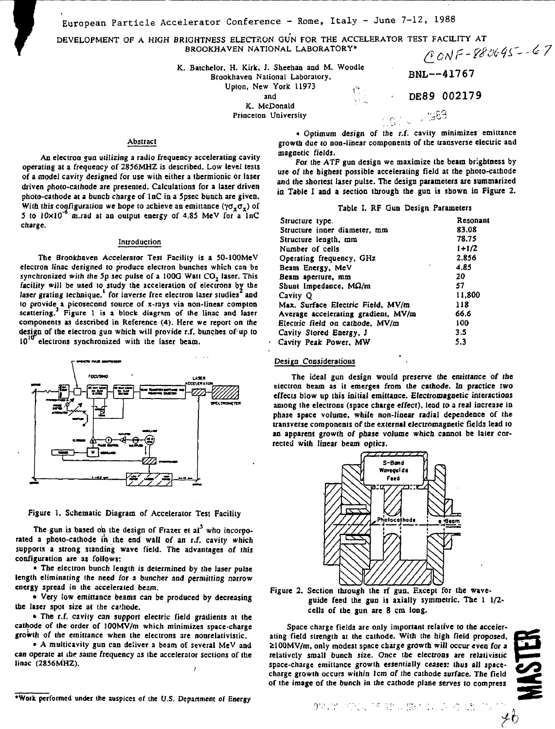European Particle Accelerator Conference - Rome, Italy - June 7-12, 1988

**DEVELOPMENT OF A HIGH BRIGHTNESS ELECTRON GUN FOR THE ACCELERATOR TEST FACILITY AT**<br>**BROOKHAVEN NATIONAL LABORATORY**\*<br> *A*  $\wedge$  $\wedge$  $\wedge$  $\vdash$   $\leq$   $\frac{1}{2}$   $\frac{1}{2}$   $\leq$   $\frac{1}{2}$ **BROOKHAVEN NATIONAL LABORATORY\***

**K. Batchelor, H. Kirk. J. Sheehan and M. Woodle**

**Brookhaveo National Laboratory, Upton, New York 11973** 

**and** *'./'.*

**K. McDonald Princeton University**

## **Abstract**

**An electron gun utilizing a radio frequency accelerating cavity operating at a frequency of 2856MHZ is described. Low level tests of a model cavity designed for use with either a thermionic or laser driven photo-cathode are presented. Calculations for a laser driven photo-cathode** *at a* **bunch charge of lnC in a Spsec bunch are given.** With this configuration we hope to achieve an emittance  $(\gamma \sigma_x \sigma_x)$  of **5 (o 10x10"\* m.rad at an output energy of 4.85 MeV for a InC charge.**

## **Introduction**

**The Brookhaven Accelerator Test Facility is a 50-IOOMeV electron linac designed to produce electron bunches which can be synchronized with (he Sp sec pulse of a 100G Watt CO2 laser. This facility will be used to study the acceleration of electrons by the** laser grating technique,<sup>1</sup> for inverse free electron laser studies<sup>2</sup> and **to provide a picosecond source of x-rays via non-linear compton scattering.<sup>3</sup> Figure 1 is a block diagram of the linac and laser components as described in Reference <4). Here we report on the design of (he electron gun which will provide r.f. bunches of up to 10<sup>1</sup> electrons synchronized with the laser beam.**



**Figure 1. Schematic Diagram of Accelerator Test Facility**

**The gun is based on the design of Frazer et al<sup>3</sup> who incorporated a photo-cathode in the end wall of an r.f. cavity which supports a strong standing wave field. The advantages of this configuration are as follows:**

**• The electron bunch length is determined by the laser pulse length eliminating (he need for a buncher and permitting narrow energy spread in the accelerated beam.**

**• Very low emittance beams can be produced by decreasing the laser spot size at the ca'iiode.**

**• The r.f. cavity can support electric field gradients at the cathode of the order of lOOMV/m which minimizes space-charge growth of the emitlance when the electrons are nonrelativistic.**

**• A multicavity gun can deliver a beam of several MeV and can operate at tbr same frequency as the accelerator sections of the linac (2856MHZ).**

**• Optimum design of the r.f. cavity minimizes emittance growth due** *to* **non-linear components of the transverse electric and magnetic fields.**

BNL--41767

DE89 002179

1583

**For the ATF gun design we maximize the beam brightness by use of the highest possible accelerating field at the photo-cathode and the shortest laser pulse. The design parameters are summarized in Table I and a section through the gun is shown in Figure 2.**

### **Table I. RF Gun Design Parameters**

|         | Structure type.                     | Resonant |
|---------|-------------------------------------|----------|
|         | Structure inner diameter, mm        | 83.08    |
|         | Structure length, mm                | 78.75    |
|         | Number of cells                     | $1+1/2$  |
|         | Operating frequency, GHz            | 2.856    |
|         | Beam Energy, MeV                    | 4.85     |
|         | Beam aperture, mm                   | 20       |
|         | Shunt Impedance, $M\Omega/m$        | 57       |
|         | Cavity Q                            | 11.800   |
|         | Max. Surface Electric Field, MV/m   | 118      |
|         | Average accelerating gradient, MV/m | 66.6     |
|         | Electric field on cathode. MV/m     | 100      |
|         | Cavity Stored Energy, J             | 3.5      |
| $\cdot$ | Cavity Peak Power, MW               | 5.3      |
|         |                                     |          |

## **Design Considerations**

**The ideal gun design would preserve the emittance of the electron beam as it emerges from the cathode. In practice two effects blow up this initial emittance. Electromagnetic interactions among the electrons (space charge effect), lead to a real increase in phase space volume, while non-linear radial dependence of the transverse components of the external electromagnetic fields lead to an apparent growth of phase volume which cannot be later corrected with linear beam optics.**



## **Figure 2. Section through the rf gun. Except for the waveguide feed the gun is axially symmetric. The 1 1/2 cells of the gun are 8 cm long.**

**Space charge fields are only important relative to the accelerating field strength at the cathode. With the high field proposed, SI00MV/m, only modest space charge growth will occur even for a relatively small bunch size. Once the electrons are relativistic space-charge emittance growth essentially ceases: Ihus all spacechnrge growth occurs within lem** *of* **the cathode surface. The field of the image of the bunch in the cathode plane serves to compress**

メウ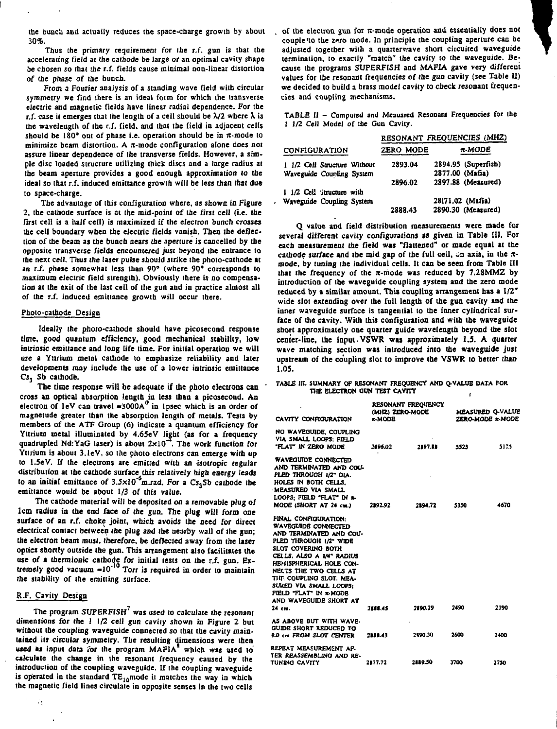**tbe bunch and actually reduces the space-charge growth by about 30%.**

**Thus (he primary requirement for the r.f. gun is that the accelerating field at the cathode be large or an optimal cavity shape be chosen so that the r.f. fields cause minimal non-linear distortion of the phase** *of* **the bunch.**

**From a Fourier analysis of a standing wave field with circular symmetry we find there is an ideal form for which the transverse electric and magnetic fields have linear radial dependence. For tbe**  $r.f.$  case it emerges that the length of a cell should be  $\lambda/2$  where  $\lambda$  is **the wavelength of tbe r.f. field, and that the field in adjacent cells** should be  $180^\circ$  out of phase i.e. operation should be in  $\pi$ -mode to **minimize beam distortion. A n-mode configuration alone does not assure linear dependence of the transverse fields. However, a simple disc loaded structure utilizing thick discs and a large radius at the beam aperture provides a good enough approximation to the ideal so that r.f. induced emiltance growth will be less than that due to space-charge.**

**The advantage of this configuration where, as shown in Figure 2, the cathode surface is at the mid-point of (he first cell (i.e. the first cell is a half cell) is maximized if the electron bunch crosses the cell boundary when the electric fields vanish. Then ihe deflection of the beam as the buncb nears the aperture is cancelled by the opposite transverse fields encountered just beyond the entrance to the next cell. Thus the laser pulse should strike Ihe photo-cathode at** *in r.f.* **phase somewhat less than 90° (where 90° corresponds to maximum electric field strength). Obviously there is no compensation at the exit of the last cell of the gun and in practice almost all of the r.f. induced esnitiance growth will occur there.**

#### **Photo-cathode Design**

**Ideally the photo-cathode should have picosecond response time, good quantum efficiency, good mechanical stability, low intrinsic emitlance and Jong life time. For initial operation we will w e a Yttrium metal cathode to emphasize reliability and later developments may include the use of a lower intrinsic emitlance C J <sup>3</sup> Sb cathode.**

**The time response will be adequate if the photo electrons can \* cross an optical absorption length in less than a picosecond. An** electron of  $\text{lev}$  can travel  $\text{=3000A}^0$  in 1psec which is an order of **magnetude greater than the absorption length of metals. Tests by members of the ATF Group (6) indicate a quantum efficiency for Yttrium metal illuminated by 4.65eV light (as for a frequency quadrupled Nd:YaC laser) is about 2x10 . The work function for Yttrium is about 3.1eV, so the photo electrons can emerge with up to l.SeV. If the electrons are emitted with an isotropic regular distribution at the cathode surface this relatively high energy leads to an initial emiltance of 3.5xlO\*<sup>6</sup>m.rad. For a Cs3Sb cathode the emitlance would be about 1/3 of this value.**

**The cathode material will be deposited on a removable plug of lcm radius in the end face of the gun. The plug will form one surface of an r.f. choke joint, which avoids the need for direct electrical contact between the plug and the nearby wall of the gun; the electron beam must, therefore, be deflected away from the User optics shortly outside the gun. This arrangement also facilitates the use of a thermionic cathode for initial tests on the r.f. gun. Extremely good vacuum -10" Torr is required in order to maintain the stability of the emitting surface.**

# **R.F. Cavity Design**

÷,

**The program SUPERFISH<sup>7</sup> was used to calculate Ihe resonant dimensions for the 1 1/2 cell gun cavity shown in Figure 2 but without the coupling waveguide connected so that the cavity maintained its circular symmetry. The resulting dimensions were then** used as input data for the program MAFIA<sup>\*</sup> which was used to **calculate the change in the resonant frequency caused by Ihe introduction of the coupling waveguide. If the coupling waveguide is operated in Ihe standard TElomodc il matches the way in which the magnetic field lines circulate in opposite senses in the two cells**

**of the electron gun for it-mode operation and essentially does not couple 'to the zrro mode. In principle the coupling aperture can be adjusted together with a quarterwave short circuited waveguide termination, to exactly "match" the cavity to the waveguide. Because the programs SUPERFISH and MAFIA gave very different values for the resonant frequencies of the gun cavity (see Table II) we decided to build a brass model cavity to check resonant frequencies and coupling mechanisms.**

**TABLE II - Computed and Meausred Resonant Frequencies for the 1 1/2 Cell Model of tbe Gun Cavity.**

|                              | RESONANT FREQUENCIES (MHZ) |                     |  |  |
|------------------------------|----------------------------|---------------------|--|--|
| <b>CONFIGURATION</b>         | ZERO MODE                  | r-MODE              |  |  |
| 1 1/2 Cell Structure Without | 2893.04                    | 2894.95 (Superfish) |  |  |
| Waveguide Counling System    |                            | 2877.00 (Mafia)     |  |  |
|                              | 2896.02                    | 2897.88 (Measured)  |  |  |
| 1 1/2 Cell structure with    |                            |                     |  |  |
| Waveguide Coupling System    |                            | 28171.02 (Mafia)    |  |  |
|                              | 2888.43                    | 2890.30 (Measured)  |  |  |

**Q value and field distribution measurements were made for several different cavity configurations as given in Table III. For each measurement the field was "flattened" or made equal at the** cathode surface and the mid gap of the full cell, an axis, in the  $\pi$ **mode, by tuning the individual cells. It can be seen from Table III** that the frequency of the  $\pi$ -mode was reduced by 7.28MMZ by **introduction of the waveguide coupling system and the zero mode reduced by a similar amount. This coupling arrangement has a 1/2" wide slot extending over the full length of the gun cavity and (be inner waveguide surface is tangential to the inner cylindrical surface of the cavity. With this configuration and with the waveguide short approximately one quarter guide wavelength beyond the slot center-line, the input. VSWR w»s approximately 1.3. A quarter wave matching section was introduced into the waveguide just upstream of the coupling slot to improve the VSWR to better than 1.05.**

#### **TABLE III. SUMMARY OF RESONANT FREQUENCY AMD Q-VALUE DATA FOR THE ELECTRON dUN TEST CAVITY**

| CAVITY CONFIGURATION                                                                                                                                                                                                                                                                                                               | RESONANT FREQUENCY<br>(MHZ) ZERO-MODE<br><b>x-MODR</b> |         | <b>MEASURED O-VALUE</b><br>ZERO-MODE x-MODE |      |
|------------------------------------------------------------------------------------------------------------------------------------------------------------------------------------------------------------------------------------------------------------------------------------------------------------------------------------|--------------------------------------------------------|---------|---------------------------------------------|------|
| NO WAVEGUIDE, COUPLING<br>VIA SMALL LOOPS: FIELD<br>"FLAT" IN ZERO MODE                                                                                                                                                                                                                                                            | 2896.02                                                | 2897.55 | 5525                                        | 5175 |
| WAVEGUIDE CONNECTED<br>AND TERMINATED AND COU-<br>PLED THROUGH 1/2" DIA.<br>HOLES IN BOTH CELLS.<br>MEASURED VIA SMALL<br>LOOPS: FIELD "FLAT" IN R-<br>MODE (SHORT AT 24 cm.)                                                                                                                                                      | 2892.92                                                | 2394.72 | 5350                                        | 4670 |
| FINAL CONFIGURATION:<br><b>WAVEGUIDE CONNECTED</b><br>AND TERMINATED AND COU-<br>PLED THROUGH 1/2" WIDE<br>SLOT COVERING BOTH<br>CELLS. ALSO A IM" RADIUS<br>HE-HISPHERICAL HOLE CON-<br>NECTS THE TWO CELLS AT<br>THE COUPLING SLOT. MEA-<br>SURED VIA SMALL LOOPS:<br>FIELD "FLAT" IN R-MODE<br>AND WAVEGUIDE SHORT AT<br>24 cm. | 2208.45                                                | 2890.29 | 2490                                        | 2190 |
| AS ABOVE BUT WITH WAVE.<br>GUIDE SHORT REDUCED TO<br>9.0 cm FROM SLOT CENTER                                                                                                                                                                                                                                                       | 2888.43                                                | 2490.30 | 2600                                        | 2400 |
| REPEAT MEASUREMENT AF.<br>TER REASSEMBLING AND RE-<br>TUNING CAVITY                                                                                                                                                                                                                                                                | 2877.72                                                | 2489.50 | 3700                                        | 2750 |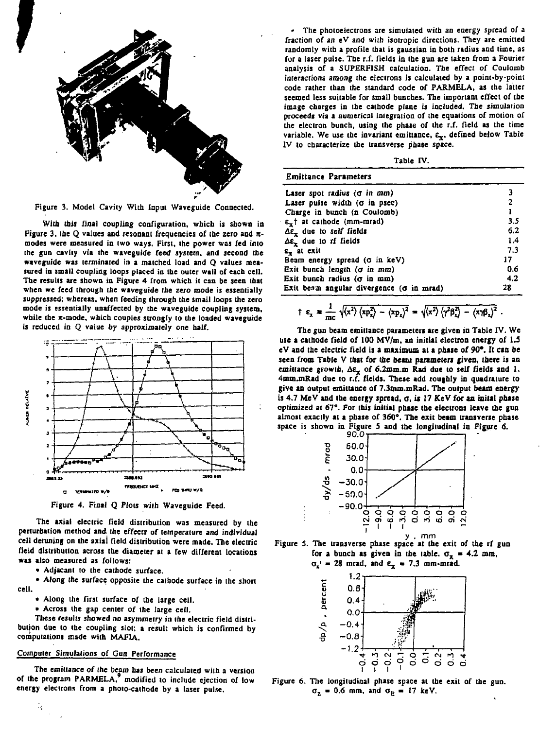

**Figure 3. Model Cavity With Input Waveguide Connected.**

**With this final coupling configuration, which is shown in Figure 3. tbe Q values and resonant frequencies of (he zero and** *n***modes were measured in two ways. First, the power was fed into the gun cavity via the waveguide feed system, and second the waveguide was terminated in a matched load and Q values measured in small coupling loops placed in the outer wail of each cell. The results are shown in Figure 4 from which it can be seen that when we feed through the waveguide the zero mode is essentially suppressed; whereas, when feeding through the small loops the zero mode is essentially unaffected by the waveguide coupling system,** while the  $\pi$ -mode, which couples strongly to the loaded waveguide **is reduced in Q value by approximately one half.**



**Figure 4. Final Q Plots with Waveguide Feed.**

**The axial electric Held distribution was measured by the perturbation method and the effects of temperature and individual cell detuning on the axial Held distribution were made. The electric Held distribution across the diameter at a few different locations was also measured as follows:**

**• Adjacant to the cathode surface.**

**• Along the surface opposite the cathode surface in the short cell.**

- **Along the first surface of the large cell.**
- **Across the gap center of (he large cell.**

**These results showed** *no* **asymmetry in ihe electric field distribution due to the coupling slot; a result which is confirmed by compulations made with MAFIA.**

# **Computer Simulations of Gun Performance**

**The emiitance of Ihe beam has been calculated with a version of the program PARMELA,' modified to include ejection of low energy electrons from a photo-cathode by a laser pulse.**

**• The photoelectrons are simulated with an energy spread of a fraction of an eV and with isolropic directions. They are emitted randomly with a profile that is gaussian in both radius and time, as for a laser pulse. The r.f. flelds in the gun are taken from a Fourier analysis of a SUPERFISH calculation. The effect of Coulomb interactions among the electrons is calculated by a poim-by-point code rather than the standard code of PARMELA, as the latter seemed less suitable for small bunches. The important effect of the image charges in the cathode plane is included. The simulation proceeds via a numerical integration of the equations of motion of the electron bunch, using the phase of the r.f. field as the time** variable. We use the invariant emittance,  $\epsilon_x$ , defined below Table **IV to characterize the transverse phase space.**

**Table IV.**

| <b>Emittance Parameters</b>               |     |
|-------------------------------------------|-----|
| Laser spot radius ( $\sigma$ in mm)       |     |
| Laser pulse width $(\sigma$ in psec)      | 2   |
| Charge in bunch (n Coulomb)               | 1   |
| $\epsilon$ , at cathode (mm-mrad)         | 3.5 |
| $\Delta \varepsilon$ , due to self fields | 6.2 |
| As, due to rf fields                      | 1.4 |
| $\epsilon$ , at exit                      | 7.3 |
| Beam energy spread (o in keV)             | 17. |
| Exit bunch length $(\sigma$ in mm)        | 0.6 |
| Exit bunch radius $(\sigma$ in $mm)$      | 4.2 |
| Exit beam angular divergence (o in mrad)  | 28  |

$$
\uparrow \epsilon_x = \frac{1}{mc} \sqrt{\langle x^2 \rangle \langle xp_x^2 \rangle - \langle xp_x \rangle^2} = \sqrt{\langle x^2 \rangle \langle \gamma^2 \beta_x^2 \rangle - \langle x \gamma \beta_x \rangle^2}
$$

**The gun beam emittance parameters are given in Table IV. We use a cathode field of 100 MV/m. an initial electron energy of 1.3 eV and the electric Held is a maximum at a phase of** *90\*.* **It can be seen from Table V that for the beam parameters given, (here is an emittance growth,** *Ae%* **of 6.2mm.m Rad due to self flelds and 1. 4mm.mRad due to r.f. flelds. These add roughly in quadrature to give an output emiitance of 7.3mm.mRad. The output beam energy is 4.7 MeV and the energy spread, a, is 17 KeV for an iniial phase optimized at 67°. For this initial phase the electrons leave the gun almost exactly at a phase of 360<sup>s</sup> . The exit beam transverse phase space is shown in Figure 5 and tbe longitudinal in Figure 6.**







**Figure 6. The longitudinal phase space at the exit of Ihe gun.**  $\sigma_z$  = 0.6 mm, and  $\sigma_B$  = 17 keV.